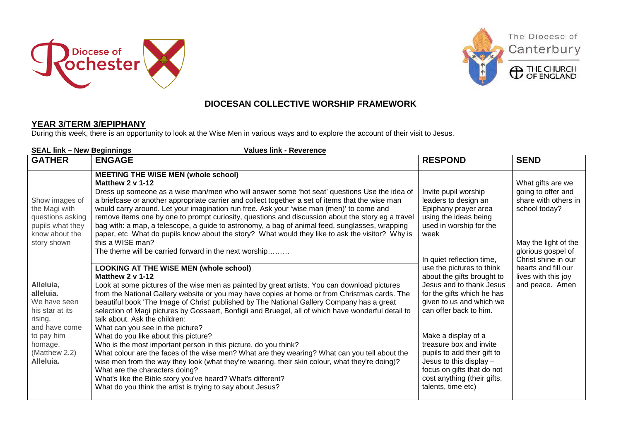





## **DIOCESAN COLLECTIVE WORSHIP FRAMEWORK**

## **YEAR 3/TERM 3/EPIPHANY**

During this week, there is an opportunity to look at the Wise Men in various ways and to explore the account of their visit to Jesus.

| <b>SEAL link - New Beginnings</b><br><b>Values link - Reverence</b>                                                                          |                                                                                                                                                                                                                                                                                                                                                                                                                                                                                                                                                                                                                                                                                                                                                                                                                                                                                                                                                                                                                           |                                                                                                                                                                                                                                                                                                                                                                                                                                                                                                                                           |                                                                                                                                                                                                                        |  |  |
|----------------------------------------------------------------------------------------------------------------------------------------------|---------------------------------------------------------------------------------------------------------------------------------------------------------------------------------------------------------------------------------------------------------------------------------------------------------------------------------------------------------------------------------------------------------------------------------------------------------------------------------------------------------------------------------------------------------------------------------------------------------------------------------------------------------------------------------------------------------------------------------------------------------------------------------------------------------------------------------------------------------------------------------------------------------------------------------------------------------------------------------------------------------------------------|-------------------------------------------------------------------------------------------------------------------------------------------------------------------------------------------------------------------------------------------------------------------------------------------------------------------------------------------------------------------------------------------------------------------------------------------------------------------------------------------------------------------------------------------|------------------------------------------------------------------------------------------------------------------------------------------------------------------------------------------------------------------------|--|--|
| <b>GATHER</b>                                                                                                                                | <b>ENGAGE</b>                                                                                                                                                                                                                                                                                                                                                                                                                                                                                                                                                                                                                                                                                                                                                                                                                                                                                                                                                                                                             | <b>RESPOND</b>                                                                                                                                                                                                                                                                                                                                                                                                                                                                                                                            | <b>SEND</b>                                                                                                                                                                                                            |  |  |
| Show images of<br>the Magi with<br>questions asking<br>pupils what they<br>know about the<br>story shown                                     | <b>MEETING THE WISE MEN (whole school)</b><br>Matthew 2 v 1-12<br>Dress up someone as a wise man/men who will answer some 'hot seat' questions Use the idea of<br>a briefcase or another appropriate carrier and collect together a set of items that the wise man<br>would carry around. Let your imagination run free. Ask your 'wise man (men)' to come and<br>remove items one by one to prompt curiosity, questions and discussion about the story eg a travel<br>bag with: a map, a telescope, a guide to astronomy, a bag of animal feed, sunglasses, wrapping<br>paper, etc What do pupils know about the story? What would they like to ask the visitor? Why is<br>this a WISE man?<br>The theme will be carried forward in the next worship                                                                                                                                                                                                                                                                     | Invite pupil worship<br>leaders to design an<br>Epiphany prayer area<br>using the ideas being<br>used in worship for the<br>week<br>In quiet reflection time,<br>use the pictures to think<br>about the gifts brought to<br>Jesus and to thank Jesus<br>for the gifts which he has<br>given to us and which we<br>can offer back to him.<br>Make a display of a<br>treasure box and invite<br>pupils to add their gift to<br>Jesus to this display $-$<br>focus on gifts that do not<br>cost anything (their gifts,<br>talents, time etc) | What gifts are we<br>going to offer and<br>share with others in<br>school today?<br>May the light of the<br>glorious gospel of<br>Christ shine in our<br>hearts and fill our<br>lives with this joy<br>and peace. Amen |  |  |
| Alleluia,<br>alleluia.<br>We have seen<br>his star at its<br>rising,<br>and have come<br>to pay him<br>homage.<br>(Matthew 2.2)<br>Alleluia. | <b>LOOKING AT THE WISE MEN (whole school)</b><br>Matthew 2 v 1-12<br>Look at some pictures of the wise men as painted by great artists. You can download pictures<br>from the National Gallery website or you may have copies at home or from Christmas cards. The<br>beautiful book 'The Image of Christ' published by The National Gallery Company has a great<br>selection of Magi pictures by Gossaert, Bonfigli and Bruegel, all of which have wonderful detail to<br>talk about. Ask the children:<br>What can you see in the picture?<br>What do you like about this picture?<br>Who is the most important person in this picture, do you think?<br>What colour are the faces of the wise men? What are they wearing? What can you tell about the<br>wise men from the way they look (what they're wearing, their skin colour, what they're doing)?<br>What are the characters doing?<br>What's like the Bible story you've heard? What's different?<br>What do you think the artist is trying to say about Jesus? |                                                                                                                                                                                                                                                                                                                                                                                                                                                                                                                                           |                                                                                                                                                                                                                        |  |  |